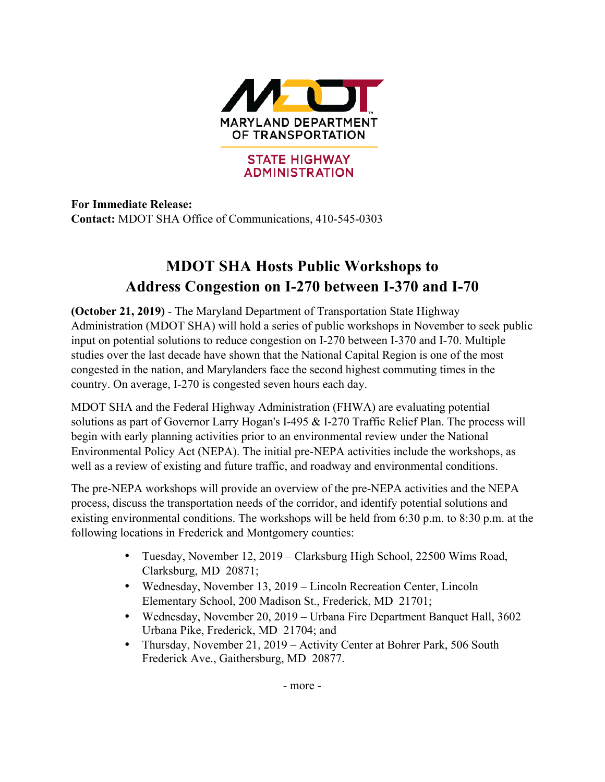

**For Immediate Release: Contact:** MDOT SHA Office of Communications, 410-545-0303

## **MDOT SHA Hosts Public Workshops to Address Congestion on I-270 between I-370 and I-70**

**(October 21, 2019)** - The Maryland Department of Transportation State Highway Administration (MDOT SHA) will hold a series of public workshops in November to seek public input on potential solutions to reduce congestion on I-270 between I-370 and I-70. Multiple studies over the last decade have shown that the National Capital Region is one of the most congested in the nation, and Marylanders face the second highest commuting times in the country. On average, I-270 is congested seven hours each day.

MDOT SHA and the Federal Highway Administration (FHWA) are evaluating potential solutions as part of Governor Larry Hogan's I-495 & I-270 Traffic Relief Plan. The process will begin with early planning activities prior to an environmental review under the National Environmental Policy Act (NEPA). The initial pre-NEPA activities include the workshops, as well as a review of existing and future traffic, and roadway and environmental conditions.

The pre-NEPA workshops will provide an overview of the pre-NEPA activities and the NEPA process, discuss the transportation needs of the corridor, and identify potential solutions and existing environmental conditions. The workshops will be held from 6:30 p.m. to 8:30 p.m. at the following locations in Frederick and Montgomery counties:

- Tuesday, November 12, 2019 Clarksburg High School, 22500 Wims Road, Clarksburg, MD 20871;
- Wednesday, November 13, 2019 Lincoln Recreation Center, Lincoln Elementary School, 200 Madison St., Frederick, MD 21701;
- Wednesday, November 20, 2019 Urbana Fire Department Banquet Hall, 3602 Urbana Pike, Frederick, MD 21704; and
- Thursday, November 21, 2019 Activity Center at Bohrer Park, 506 South Frederick Ave., Gaithersburg, MD 20877.